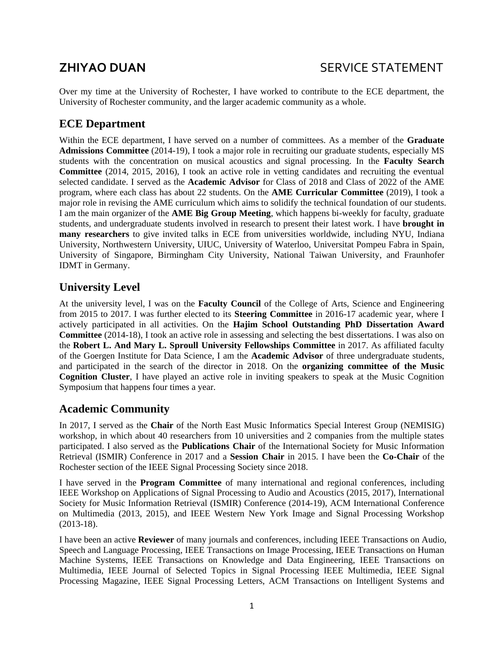Over my time at the University of Rochester, I have worked to contribute to the ECE department, the University of Rochester community, and the larger academic community as a whole.

## **ECE Department**

Within the ECE department, I have served on a number of committees. As a member of the **Graduate Admissions Committee** (2014-19), I took a major role in recruiting our graduate students, especially MS students with the concentration on musical acoustics and signal processing. In the **Faculty Search Committee** (2014, 2015, 2016), I took an active role in vetting candidates and recruiting the eventual selected candidate. I served as the **Academic Advisor** for Class of 2018 and Class of 2022 of the AME program, where each class has about 22 students. On the **AME Curricular Committee** (2019), I took a major role in revising the AME curriculum which aims to solidify the technical foundation of our students. I am the main organizer of the **AME Big Group Meeting**, which happens bi-weekly for faculty, graduate students, and undergraduate students involved in research to present their latest work. I have **brought in many researchers** to give invited talks in ECE from universities worldwide, including NYU, Indiana University, Northwestern University, UIUC, University of Waterloo, Universitat Pompeu Fabra in Spain, University of Singapore, Birmingham City University, National Taiwan University, and Fraunhofer IDMT in Germany.

## **University Level**

At the university level, I was on the **Faculty Council** of the College of Arts, Science and Engineering from 2015 to 2017. I was further elected to its **Steering Committee** in 2016-17 academic year, where I actively participated in all activities. On the **Hajim School Outstanding PhD Dissertation Award Committee** (2014-18), I took an active role in assessing and selecting the best dissertations. I was also on the **Robert L. And Mary L. Sproull University Fellowships Committee** in 2017. As affiliated faculty of the Goergen Institute for Data Science, I am the **Academic Advisor** of three undergraduate students, and participated in the search of the director in 2018. On the **organizing committee of the Music Cognition Cluster**, I have played an active role in inviting speakers to speak at the Music Cognition Symposium that happens four times a year.

## **Academic Community**

In 2017, I served as the **Chair** of the North East Music Informatics Special Interest Group (NEMISIG) workshop, in which about 40 researchers from 10 universities and 2 companies from the multiple states participated. I also served as the **Publications Chair** of the International Society for Music Information Retrieval (ISMIR) Conference in 2017 and a **Session Chair** in 2015. I have been the **Co-Chair** of the Rochester section of the IEEE Signal Processing Society since 2018.

I have served in the **Program Committee** of many international and regional conferences, including IEEE Workshop on Applications of Signal Processing to Audio and Acoustics (2015, 2017), International Society for Music Information Retrieval (ISMIR) Conference (2014-19), ACM International Conference on Multimedia (2013, 2015), and IEEE Western New York Image and Signal Processing Workshop (2013-18).

I have been an active **Reviewer** of many journals and conferences, including IEEE Transactions on Audio, Speech and Language Processing, IEEE Transactions on Image Processing, IEEE Transactions on Human Machine Systems, IEEE Transactions on Knowledge and Data Engineering, IEEE Transactions on Multimedia, IEEE Journal of Selected Topics in Signal Processing IEEE Multimedia, IEEE Signal Processing Magazine, IEEE Signal Processing Letters, ACM Transactions on Intelligent Systems and